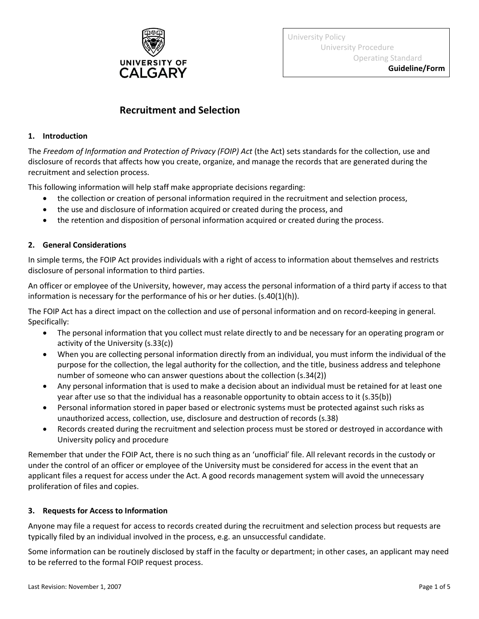

University Policy University Procedure Operating Standard **Guideline/Form**

# **Recruitment and Selection**

## **1. Introduction**

The *Freedom of Information and Protection of Privacy (FOIP) Act* (the Act) sets standards for the collection, use and disclosure of records that affects how you create, organize, and manage the records that are generated during the recruitment and selection process.

This following information will help staff make appropriate decisions regarding:

- the collection or creation of personal information required in the recruitment and selection process,
- the use and disclosure of information acquired or created during the process, and
- the retention and disposition of personal information acquired or created during the process.

## **2. General Considerations**

In simple terms, the FOIP Act provides individuals with a right of access to information about themselves and restricts disclosure of personal information to third parties.

An officer or employee of the University, however, may access the personal information of a third party if access to that information is necessary for the performance of his or her duties. (s.40(1)(h)).

The FOIP Act has a direct impact on the collection and use of personal information and on record-keeping in general. Specifically:

- The personal information that you collect must relate directly to and be necessary for an operating program or activity of the University (s.33(c))
- When you are collecting personal information directly from an individual, you must inform the individual of the purpose for the collection, the legal authority for the collection, and the title, business address and telephone number of someone who can answer questions about the collection (s.34(2))
- Any personal information that is used to make a decision about an individual must be retained for at least one year after use so that the individual has a reasonable opportunity to obtain access to it (s.35(b))
- Personal information stored in paper based or electronic systems must be protected against such risks as unauthorized access, collection, use, disclosure and destruction of records (s.38)
- Records created during the recruitment and selection process must be stored or destroyed in accordance with University policy and procedure

Remember that under the FOIP Act, there is no such thing as an 'unofficial' file. All relevant records in the custody or under the control of an officer or employee of the University must be considered for access in the event that an applicant files a request for access under the Act. A good records management system will avoid the unnecessary proliferation of files and copies.

## **3. Requests for Access to Information**

Anyone may file a request for access to records created during the recruitment and selection process but requests are typically filed by an individual involved in the process, e.g. an unsuccessful candidate.

Some information can be routinely disclosed by staff in the faculty or department; in other cases, an applicant may need to be referred to the formal FOIP request process.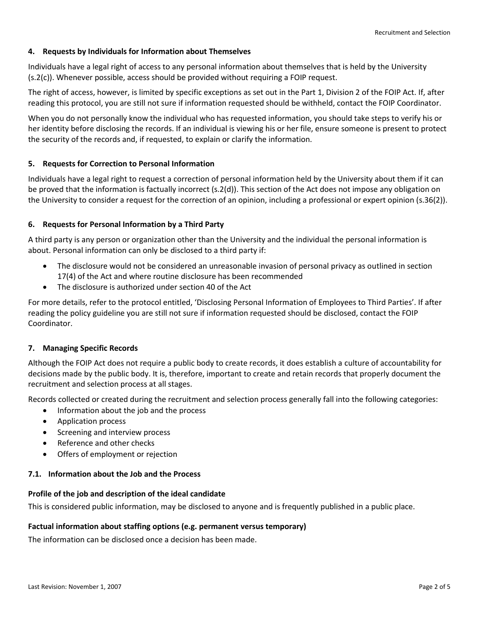## **4. Requests by Individuals for Information about Themselves**

Individuals have a legal right of access to any personal information about themselves that is held by the University (s.2(c)). Whenever possible, access should be provided without requiring a FOIP request.

The right of access, however, is limited by specific exceptions as set out in the Part 1, Division 2 of the FOIP Act. If, after reading this protocol, you are still not sure if information requested should be withheld, contact the FOIP Coordinator.

When you do not personally know the individual who has requested information, you should take steps to verify his or her identity before disclosing the records. If an individual is viewing his or her file, ensure someone is present to protect the security of the records and, if requested, to explain or clarify the information.

## **5. Requests for Correction to Personal Information**

Individuals have a legal right to request a correction of personal information held by the University about them if it can be proved that the information is factually incorrect (s.2(d)). This section of the Act does not impose any obligation on the University to consider a request for the correction of an opinion, including a professional or expert opinion (s.36(2)).

## **6. Requests for Personal Information by a Third Party**

A third party is any person or organization other than the University and the individual the personal information is about. Personal information can only be disclosed to a third party if:

- The disclosure would not be considered an unreasonable invasion of personal privacy as outlined in section 17(4) of the Act and where routine disclosure has been recommended
- The disclosure is authorized under section 40 of the Act

For more details, refer to the protocol entitled, 'Disclosing Personal Information of Employees to Third Parties'. If after reading the policy guideline you are still not sure if information requested should be disclosed, contact the FOIP Coordinator.

#### **7. Managing Specific Records**

Although the FOIP Act does not require a public body to create records, it does establish a culture of accountability for decisions made by the public body. It is, therefore, important to create and retain records that properly document the recruitment and selection process at all stages.

Records collected or created during the recruitment and selection process generally fall into the following categories:

- Information about the job and the process
- Application process
- Screening and interview process
- Reference and other checks
- Offers of employment or rejection

#### **7.1. Information about the Job and the Process**

## **Profile of the job and description of the ideal candidate**

This is considered public information, may be disclosed to anyone and is frequently published in a public place.

## **Factual information about staffing options (e.g. permanent versus temporary)**

The information can be disclosed once a decision has been made.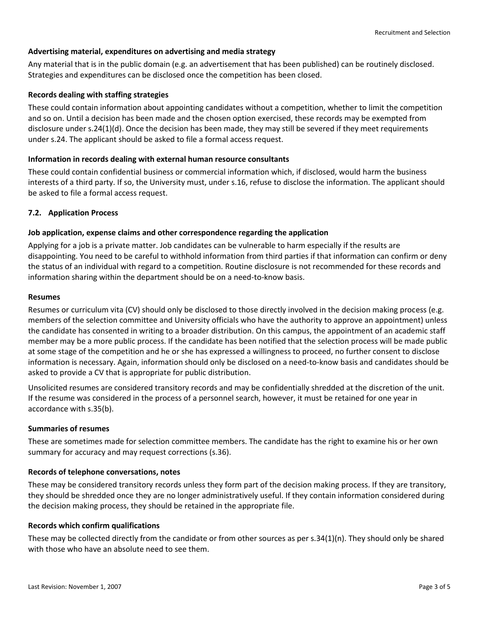## **Advertising material, expenditures on advertising and media strategy**

Any material that is in the public domain (e.g. an advertisement that has been published) can be routinely disclosed. Strategies and expenditures can be disclosed once the competition has been closed.

## **Records dealing with staffing strategies**

These could contain information about appointing candidates without a competition, whether to limit the competition and so on. Until a decision has been made and the chosen option exercised, these records may be exempted from disclosure under s.24(1)(d). Once the decision has been made, they may still be severed if they meet requirements under s.24. The applicant should be asked to file a formal access request.

## **Information in records dealing with external human resource consultants**

These could contain confidential business or commercial information which, if disclosed, would harm the business interests of a third party. If so, the University must, under s.16, refuse to disclose the information. The applicant should be asked to file a formal access request.

## **7.2. Application Process**

## **Job application, expense claims and other correspondence regarding the application**

Applying for a job is a private matter. Job candidates can be vulnerable to harm especially if the results are disappointing. You need to be careful to withhold information from third parties if that information can confirm or deny the status of an individual with regard to a competition. Routine disclosure is not recommended for these records and information sharing within the department should be on a need-to-know basis.

#### **Resumes**

Resumes or curriculum vita (CV) should only be disclosed to those directly involved in the decision making process (e.g. members of the selection committee and University officials who have the authority to approve an appointment) unless the candidate has consented in writing to a broader distribution. On this campus, the appointment of an academic staff member may be a more public process. If the candidate has been notified that the selection process will be made public at some stage of the competition and he or she has expressed a willingness to proceed, no further consent to disclose information is necessary. Again, information should only be disclosed on a need-to-know basis and candidates should be asked to provide a CV that is appropriate for public distribution.

Unsolicited resumes are considered transitory records and may be confidentially shredded at the discretion of the unit. If the resume was considered in the process of a personnel search, however, it must be retained for one year in accordance with s.35(b).

#### **Summaries of resumes**

These are sometimes made for selection committee members. The candidate has the right to examine his or her own summary for accuracy and may request corrections (s.36).

#### **Records of telephone conversations, notes**

These may be considered transitory records unless they form part of the decision making process. If they are transitory, they should be shredded once they are no longer administratively useful. If they contain information considered during the decision making process, they should be retained in the appropriate file.

#### **Records which confirm qualifications**

These may be collected directly from the candidate or from other sources as per s.34(1)(n). They should only be shared with those who have an absolute need to see them.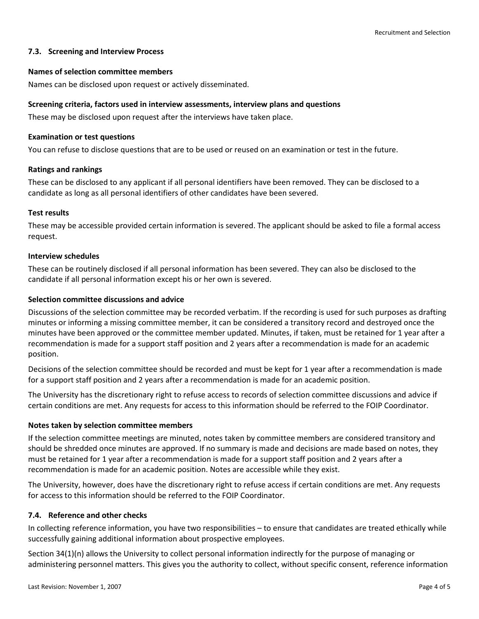## **7.3. Screening and Interview Process**

#### **Names of selection committee members**

Names can be disclosed upon request or actively disseminated.

#### **Screening criteria, factors used in interview assessments, interview plans and questions**

These may be disclosed upon request after the interviews have taken place.

#### **Examination or test questions**

You can refuse to disclose questions that are to be used or reused on an examination or test in the future.

#### **Ratings and rankings**

These can be disclosed to any applicant if all personal identifiers have been removed. They can be disclosed to a candidate as long as all personal identifiers of other candidates have been severed.

#### **Test results**

These may be accessible provided certain information is severed. The applicant should be asked to file a formal access request.

#### **Interview schedules**

These can be routinely disclosed if all personal information has been severed. They can also be disclosed to the candidate if all personal information except his or her own is severed.

#### **Selection committee discussions and advice**

Discussions of the selection committee may be recorded verbatim. If the recording is used for such purposes as drafting minutes or informing a missing committee member, it can be considered a transitory record and destroyed once the minutes have been approved or the committee member updated. Minutes, if taken, must be retained for 1 year after a recommendation is made for a support staff position and 2 years after a recommendation is made for an academic position.

Decisions of the selection committee should be recorded and must be kept for 1 year after a recommendation is made for a support staff position and 2 years after a recommendation is made for an academic position.

The University has the discretionary right to refuse access to records of selection committee discussions and advice if certain conditions are met. Any requests for access to this information should be referred to the FOIP Coordinator.

#### **Notes taken by selection committee members**

If the selection committee meetings are minuted, notes taken by committee members are considered transitory and should be shredded once minutes are approved. If no summary is made and decisions are made based on notes, they must be retained for 1 year after a recommendation is made for a support staff position and 2 years after a recommendation is made for an academic position. Notes are accessible while they exist.

The University, however, does have the discretionary right to refuse access if certain conditions are met. Any requests for access to this information should be referred to the FOIP Coordinator.

## **7.4. Reference and other checks**

In collecting reference information, you have two responsibilities – to ensure that candidates are treated ethically while successfully gaining additional information about prospective employees.

Section 34(1)(n) allows the University to collect personal information indirectly for the purpose of managing or administering personnel matters. This gives you the authority to collect, without specific consent, reference information